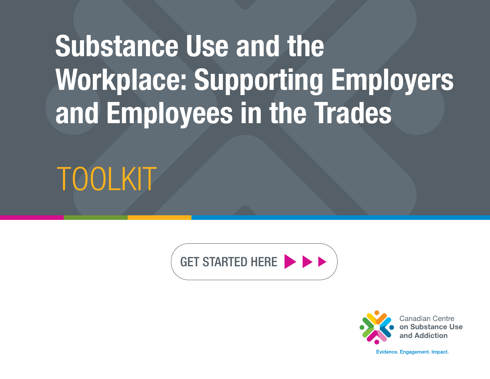# Substance Use and the Workplace: Supporting Employers and Employees in the Trades

TOOLKIT





Evidence, Engagement, Impact,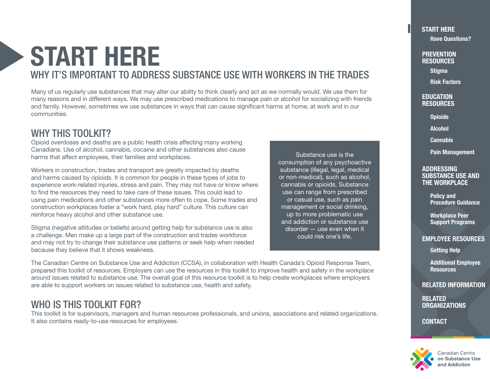## <span id="page-1-0"></span>START HERE WHY IT'S IMPORTANT TO ADDRESS SUBSTANCE USE WITH WORKERS IN THE TRADES

Many of us regularly use substances that may alter our ability to think clearly and act as we normally would. We use them for many reasons and in different ways. We may use prescribed medications to manage pain or alcohol for socializing with friends and family. However, sometimes we use substances in ways that can cause significant harms at home, at work and in our communities.

## WHY THIS TOOLKIT?

Opioid overdoses and deaths are a public health crisis affecting many working Canadians. Use of alcohol, cannabis, cocaine and other substances also cause harms that affect employees, their families and workplaces.

Workers in construction, trades and transport are greatly impacted by deaths and harms caused by opioids. It is common for people in these types of jobs to experience work-related injuries, stress and pain. They may not have or know where to find the resources they need to take care of these issues. This could lead to using pain medications and other substances more often to cope. Some trades and construction workplaces foster a "work hard, play hard" culture. This culture can reinforce heavy alcohol and other substance use.

Stigma (negative attitudes or beliefs) around getting help for substance use is also a challenge. Men make up a large part of the construction and trades workforce and may not try to change their substance use patterns or seek help when needed because they believe that it shows weakness.

consumption of any psychoactive substance (illegal, legal, medical or non-medical), such as alcohol, cannabis or opioids. Substance use can range from prescribed or casual use, such as pain management or social drinking, up to more problematic use and addiction or substance use disorder — use even when it could risk one's life.

Substance use is the

The Canadian Centre on Substance Use and Addiction (CCSA), in collaboration with Health Canada's Opioid Response Team, prepared this toolkit of resources. Employers can use the resources in this toolkit to improve health and safety in the workplace around issues related to substance use. The overall goal of this resource toolkit is to help create workplaces where employers are able to support workers on issues related to substance use, health and safety.

## WHO IS THIS TOOLKIT FOR?

This toolkit is for supervisors, managers and human resources professionals, and unions, associations and related organizations. It also contains ready-to-use resources for employees.

### START HERE

[Have Questions?](#page-2-0)

**PREVENTION RESOURCES** 

[Stigma](#page-3-0)

[Risk Factors](#page-4-0)

#### **EDUCATION [RESOURCES](#page-5-0)**

**[Opioids](#page-5-0)** 

[Alcohol](#page-6-0)

**[Cannabis](#page-7-0)** 

[Pain Management](#page-8-0)

#### ADDRESSING [SUBSTANCE USE AND](#page-9-0)  THE WORKPLACE

Policy and [Procedure Guidance](#page-9-0)

Workplace Peer [Support Programs](#page-10-0)

#### [EMPLOYEE RESOURCES](#page-11-0)

[Getting Help](#page-11-0)

[Additional Employee](#page-12-0)  **Resources** 

[RELATED INFORMATION](#page-13-0)

RELATED **[ORGANIZATIONS](#page-14-0)** 

**[CONTACT](#page-17-0)** 



on Substance Use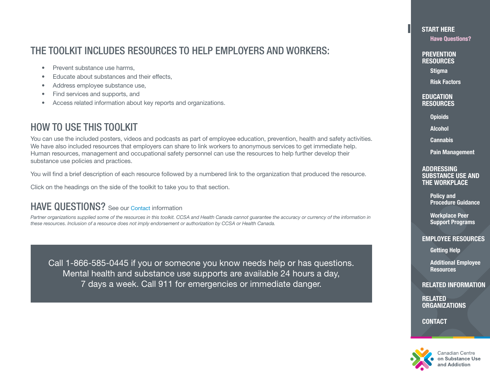## <span id="page-2-0"></span>THE TOOLKIT INCLUDES RESOURCES TO HELP EMPLOYERS AND WORKERS:

- Prevent substance use harms.
- Educate about substances and their effects,
- Address employee substance use,
- Find services and supports, and
- Access related information about key reports and organizations.

## HOW TO USE THIS TOOLKIT

You can use the included posters, videos and podcasts as part of employee education, prevention, health and safety activities. We have also included resources that employers can share to link workers to anonymous services to get immediate help. Human resources, management and occupational safety personnel can use the resources to help further develop their substance use policies and practices.

You will find a brief description of each resource followed by a numbered link to the organization that produced the resource.

Click on the headings on the side of the toolkit to take you to that section.

## HAVE QUESTIONS? See our [Contact](#page-17-0) information

Partner organizations supplied some of the resources in this toolkit. CCSA and Health Canada cannot guarantee the accuracy or currency of the information in *these resources. Inclusion of a resource does not imply endorsement or authorization by CCSA or Health Canada.*

Call 1-866-585-0445 if you or someone you know needs help or has questions. Mental health and substance use supports are available 24 hours a day, 7 days a week. Call 911 for emergencies or immediate danger.

#### [START HERE](#page-1-0)

Have Questions?

**PREVENTION RESOURCES** 

[Stigma](#page-3-0)

[Risk Factors](#page-4-0)

**EDUCATION** [RESOURCES](#page-5-0)

**[Opioids](#page-5-0)** 

[Alcohol](#page-6-0)

**[Cannabis](#page-7-0)** 

[Pain Management](#page-8-0)

#### ADDRESSING [SUBSTANCE USE AND](#page-9-0)  THE WORKPLACE

Policy and [Procedure Guidance](#page-9-0)

Workplace Peer [Support Programs](#page-10-0)

#### [EMPLOYEE RESOURCES](#page-11-0)

[Getting Help](#page-11-0)

[Additional Employee](#page-12-0)  **Resources** 

[RELATED INFORMATION](#page-13-0)

RELATED **[ORGANIZATIONS](#page-14-0)** 

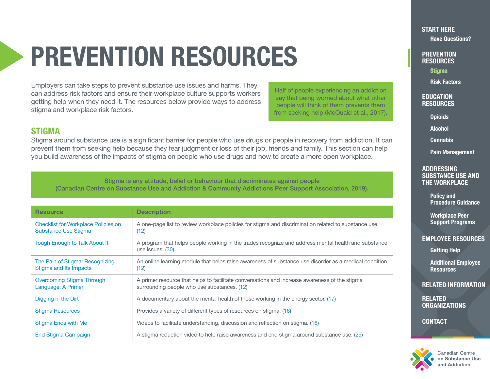## <span id="page-3-0"></span>PREVENTION RESOURCES

Employers can take steps to prevent substance use issues and harms. They can address risk factors and ensure their workplace culture supports workers getting help when they need it. The resources below provide ways to address stigma and workplace risk factors.

Half of people experiencing an addiction say that being worried about what other people will think of them prevents them from seeking help (McQuaid et al., 2017).

### STIGMA

Stigma around substance use is a significant barrier for people who use drugs or people in recovery from addiction. It can prevent them from seeking help because they fear judgment or loss of their job, friends and family. This section can help you build awareness of the impacts of stigma on people who use drugs and how to create a more open workplace.

Stigma is any attitude, belief or behaviour that discriminates against people (Canadian Centre on Substance Use and Addiction & Community Addictions Peer Support Association, 2019).

| <b>Resource</b>                                                           | <b>Description</b>                                                                                                                           |
|---------------------------------------------------------------------------|----------------------------------------------------------------------------------------------------------------------------------------------|
| <b>Checklist for Workplace Policies on</b><br><b>Substance Use Stigma</b> | A one-page list to review workplace policies for stigma and discrimination related to substance use.<br>(12)                                 |
| <b>Tough Enough to Talk About It</b>                                      | A program that helps people working in the trades recognize and address mental health and substance<br>use issues. (30)                      |
| The Pain of Stigma: Recognizing<br>Stigma and Its Impacts                 | An online learning module that helps raise awareness of substance use disorder as a medical condition.<br>(12)                               |
| Overcoming Stigma Through<br>Language: A Primer                           | A primer resource that helps to facilitate conversations and increase awareness of the stigma<br>surrounding people who use substances. (12) |
| Digging in the Dirt                                                       | A documentary about the mental health of those working in the energy sector. (17)                                                            |
| <b>Stigma Resources</b>                                                   | Provides a variety of different types of resources on stigma. (16)                                                                           |
| Stigma Ends with Me                                                       | Videos to facilitate understanding, discussion and reflection on stigma. (16)                                                                |
| <b>End Stigma Campaign</b>                                                | A stigma reduction video to help raise awareness and end stigma around substance use. (29)                                                   |

[START HERE](#page-1-0)

[Have Questions?](#page-2-0)

**PREVENTION RESOURCES** 

**Stigma** 

[Risk Factors](#page-4-0)

**EDUCATION [RESOURCES](#page-5-0)** 

**[Opioids](#page-5-0)** 

[Alcohol](#page-6-0)

**[Cannabis](#page-7-0)** 

[Pain Management](#page-8-0)

#### **ADDRESSING** [SUBSTANCE USE AND](#page-9-0)  THE WORKPLACE

Policy and [Procedure Guidance](#page-9-0)

Workplace Peer [Support Programs](#page-10-0)

#### [EMPLOYEE RESOURCES](#page-11-0)

[Getting Help](#page-11-0)

[Additional Employee](#page-12-0)  **Resources** 

[RELATED INFORMATION](#page-13-0)

RELATED **[ORGANIZATIONS](#page-14-0)** 

**[CONTACT](#page-17-0)** 



anadian Centre? on Substance Use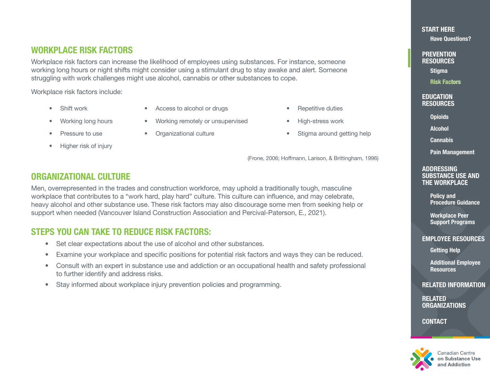## <span id="page-4-0"></span>WORKPLACE RISK FACTORS

Workplace risk factors can increase the likelihood of employees using substances. For instance, someone working long hours or night shifts might consider using a stimulant drug to stay awake and alert. Someone struggling with work challenges might use alcohol, cannabis or other substances to cope.

Workplace risk factors include:

- 
- Shift work Access to alcohol or drugs Repetitive duties
- Working long hours Working remotely or unsupervised High-stress work
- 
- Higher risk of injury
- 
- 
- 
- 
- 
- Pressure to use Organizational culture • Stigma around getting help

(Frone, 2006; Hoffmann, Larison, & Brittingham, 1996)

## ORGANIZATIONAL CULTURE

Men, overrepresented in the trades and construction workforce, may uphold a traditionally tough, masculine workplace that contributes to a "work hard, play hard" culture. This culture can influence, and may celebrate, heavy alcohol and other substance use. These risk factors may also discourage some men from seeking help or support when needed (Vancouver Island Construction Association and Percival-Paterson, E., 2021).

### STEPS YOU CAN TAKE TO REDUCE RISK FACTORS:

- Set clear expectations about the use of alcohol and other substances.
- Examine your workplace and specific positions for potential risk factors and ways they can be reduced.
- Consult with an expert in substance use and addiction or an occupational health and safety professional to further identify and address risks.
- Stay informed about workplace injury prevention policies and programming.

[START HERE](#page-1-0)

[Have Questions?](#page-2-0)

**PREVENTION RESOURCES** 

[Stigma](#page-3-0)

Risk Factors Facrors

**EDUCATION [RESOURCES](#page-5-0)** 

**[Opioids](#page-5-0)** 

[Alcohol](#page-6-0)

**[Cannabis](#page-7-0)** 

[Pain Management](#page-8-0)

#### ADDRESSING [SUBSTANCE USE AND](#page-9-0)  THE WORKPLACE

Policy and [Procedure Guidance](#page-9-0)

Workplace Peer [Support Programs](#page-10-0)

#### [EMPLOYEE RESOURCES](#page-11-0)

[Getting Help](#page-11-0)

[Additional Employee](#page-12-0)  **Resources** 

[RELATED INFORMATION](#page-13-0)

RELATED **[ORGANIZATIONS](#page-14-0)** 

**[CONTACT](#page-17-0)** 



Canadian Centre on Substance Use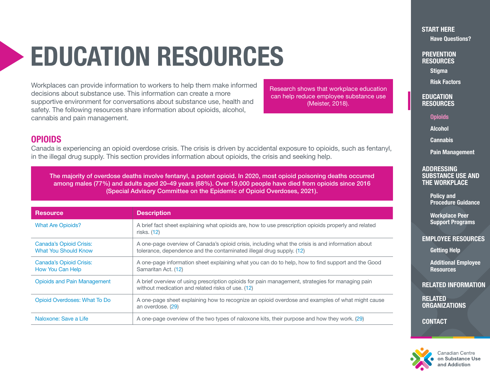## <span id="page-5-0"></span>EDUCATION RESOURCES

Workplaces can provide information to workers to help them make informed decisions about substance use. This information can create a more supportive environment for conversations about substance use, health and safety. The following resources share information about opioids, alcohol, cannabis and pain management.

Research shows that workplace education can help reduce employee substance use (Meister, 2018).

**PREVENTION RESOURCES** 

[Have Questions?](#page-2-0)

[Stigma](#page-3-0)

[START HERE](#page-1-0)

[Risk Factors](#page-4-0)

**EDUCATION** RESOURCES

**Opioids** 

[Alcohol](#page-6-0)

**[Cannabis](#page-7-0)** 

[Pain Management](#page-8-0)

#### **ADDRESSING** [SUBSTANCE USE AND](#page-9-0)  THE WORKPLACE

Policy and [Procedure Guidance](#page-9-0)

Workplace Peer [Support Programs](#page-10-0)

#### [EMPLOYEE RESOURCES](#page-11-0)

[Getting Help](#page-11-0)

[Additional Employee](#page-12-0)  **Resources** 

[RELATED INFORMATION](#page-13-0)

RELATED **[ORGANIZATIONS](#page-14-0)** 

**[CONTACT](#page-17-0)** 



anadian Centre? on Substance Use

## **OPIOIDS**

Canada is experiencing an opioid overdose crisis. The crisis is driven by accidental exposure to opioids, such as fentanyl, in the illegal drug supply. This section provides information about opioids, the crisis and seeking help.

The majority of overdose deaths involve fentanyl, a potent opioid. In 2020, most opioid poisoning deaths occurred among males (77%) and adults aged 20–49 years (68%). Over 19,000 people have died from opioids since 2016 (Special Advisory Committee on the Epidemic of Opioid Overdoses, 2021).

| <b>Resource</b>                                        | <b>Description</b>                                                                                                                                                        |
|--------------------------------------------------------|---------------------------------------------------------------------------------------------------------------------------------------------------------------------------|
| <b>What Are Opioids?</b>                               | A brief fact sheet explaining what opioids are, how to use prescription opioids properly and related<br>risks. (12)                                                       |
| Canada's Opioid Crisis:<br><b>What You Should Know</b> | A one-page overview of Canada's opioid crisis, including what the crisis is and information about<br>tolerance, dependence and the contaminated illegal drug supply. (12) |
| Canada's Opioid Crisis:<br>How You Can Help            | A one-page information sheet explaining what you can do to help, how to find support and the Good<br>Samaritan Act. (12)                                                  |
| <b>Opioids and Pain Management</b>                     | A brief overview of using prescription opioids for pain management, strategies for managing pain<br>without medication and related risks of use. (12)                     |
| Opioid Overdoses: What To Do                           | A one-page sheet explaining how to recognize an opioid overdose and examples of what might cause<br>an overdose. (29)                                                     |
| Naloxone: Save a Life                                  | A one-page overview of the two types of naloxone kits, their purpose and how they work. (29)                                                                              |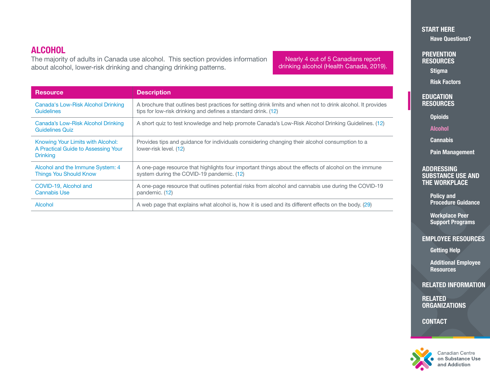## <span id="page-6-0"></span>**ALCOHOL**

The majority of adults in Canada use alcohol. This section provides information about alcohol, lower-risk drinking and changing drinking patterns.

Nearly 4 out of 5 Canadians report drinking alcohol (Health Canada, 2019).

| <b>Resource</b>                                                                             | <b>Description</b>                                                                                                                                                           |
|---------------------------------------------------------------------------------------------|------------------------------------------------------------------------------------------------------------------------------------------------------------------------------|
| <b>Canada's Low-Risk Alcohol Drinking</b><br><b>Guidelines</b>                              | A brochure that outlines best practices for setting drink limits and when not to drink alcohol. It provides<br>tips for low-risk drinking and defines a standard drink. (12) |
| Canada's Low-Risk Alcohol Drinking<br><b>Guidelines Quiz</b>                                | A short quiz to test knowledge and help promote Canada's Low-Risk Alcohol Drinking Guidelines. (12)                                                                          |
| Knowing Your Limits with Alcohol:<br>A Practical Guide to Assessing Your<br><b>Drinking</b> | Provides tips and quidance for individuals considering changing their alcohol consumption to a<br>lower-risk level. (12)                                                     |
| Alcohol and the Immune System: 4<br><b>Things You Should Know</b>                           | A one-page resource that highlights four important things about the effects of alcohol on the immune<br>system during the COVID-19 pandemic. (12)                            |
| COVID-19, Alcohol and<br><b>Cannabis Use</b>                                                | A one-page resource that outlines potential risks from alcohol and cannabis use during the COVID-19<br>pandemic. (12)                                                        |
| Alcohol                                                                                     | A web page that explains what alcohol is, how it is used and its different effects on the body. (29)                                                                         |

#### [START HERE](#page-1-0) [Have Questions?](#page-2-0)

**PREVENTION RESOURCES** 

**[Stigma](#page-3-0)** 

[Risk Factors](#page-4-0)

#### **EDUCATION [RESOURCES](#page-5-0)**

**[Opioids](#page-5-0)** 

Alcohol

**[Cannabis](#page-7-0)** 

[Pain Management](#page-8-0)

#### ADDRESSING [SUBSTANCE USE AND](#page-9-0)  THE WORKPLACE

Policy and [Procedure Guidance](#page-9-0)

Workplace Peer [Support Programs](#page-10-0)

#### [EMPLOYEE RESOURCES](#page-11-0)

[Getting Help](#page-11-0)

[Additional Employee](#page-12-0)  **Resources** 

[RELATED INFORMATION](#page-13-0)

**RELATED [ORGANIZATIONS](#page-14-0)** 

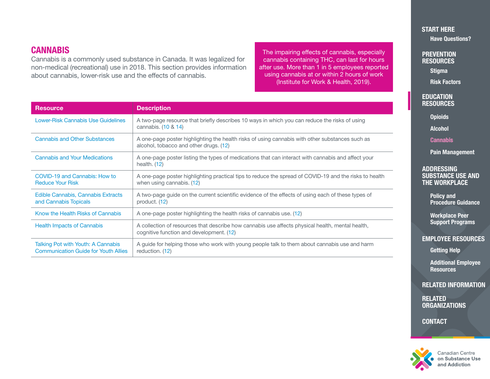## <span id="page-7-0"></span>**CANNABIS**

Cannabis is a commonly used substance in Canada. It was legalized for non-medical (recreational) use in 2018. This section provides information about cannabis, lower-risk use and the effects of cannabis.

The impairing effects of cannabis, especially cannabis containing THC, can last for hours after use. More than 1 in 5 employees reported using cannabis at or within 2 hours of work (Institute for Work & Health, 2019).

| <b>Resource</b>                                                                   | <b>Description</b>                                                                                                                           |
|-----------------------------------------------------------------------------------|----------------------------------------------------------------------------------------------------------------------------------------------|
| <b>Lower-Risk Cannabis Use Guidelines</b>                                         | A two-page resource that briefly describes 10 ways in which you can reduce the risks of using<br>cannabis. (10 & 14)                         |
| <b>Cannabis and Other Substances</b>                                              | A one-page poster highlighting the health risks of using cannabis with other substances such as<br>alcohol, tobacco and other drugs. (12)    |
| <b>Cannabis and Your Medications</b>                                              | A one-page poster listing the types of medications that can interact with cannabis and affect your<br>health. $(12)$                         |
| COVID-19 and Cannabis: How to<br><b>Reduce Your Risk</b>                          | A one-page poster highlighting practical tips to reduce the spread of COVID-19 and the risks to health<br>when using cannabis. (12)          |
| Edible Cannabis, Cannabis Extracts<br>and Cannabis Topicals                       | A two-page guide on the current scientific evidence of the effects of using each of these types of<br>product. (12)                          |
| Know the Health Risks of Cannabis                                                 | A one-page poster highlighting the health risks of cannabis use. (12)                                                                        |
| <b>Health Impacts of Cannabis</b>                                                 | A collection of resources that describe how cannabis use affects physical health, mental health,<br>cognitive function and development. (12) |
| Talking Pot with Youth: A Cannabis<br><b>Communication Guide for Youth Allies</b> | A guide for helping those who work with young people talk to them about cannabis use and harm<br>reduction. (12)                             |

[START HERE](#page-1-0) [Have Questions?](#page-2-0)

**PREVENTION RESOURCES** 

**[Stigma](#page-3-0)** 

[Risk Factors](#page-4-0)

**EDUCATION [RESOURCES](#page-5-0)** 

**[Opioids](#page-5-0)** 

[Alcohol](#page-6-0)

**Cannabis** 

[Pain Management](#page-8-0)

#### ADDRESSING [SUBSTANCE USE AND](#page-9-0)  THE WORKPLACE

Policy and [Procedure Guidance](#page-9-0)

Workplace Peer [Support Programs](#page-10-0)

#### [EMPLOYEE RESOURCES](#page-11-0)

[Getting Help](#page-11-0)

[Additional Employee](#page-12-0)  **Resources** 

[RELATED INFORMATION](#page-13-0)

**RELATED [ORGANIZATIONS](#page-14-0)** 

**[CONTACT](#page-17-0)** 



Canadian Centre on Substance Use and Addiction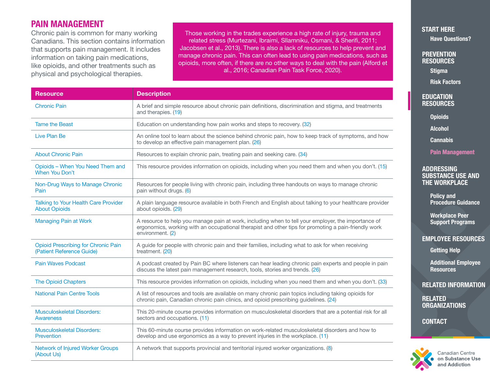## <span id="page-8-0"></span>PAIN MANAGEMENT

Chronic pain is common for many working Canadians. This section contains information that supports pain management. It includes information on taking pain medications, like opioids, and other treatments such as physical and psychological therapies.

Those working in the trades experience a high rate of injury, trauma and related stress (Murtezani, Ibraimi, Sllamniku, Osmani, & Sherifi, 2011; Jacobsen et al., 2013). There is also a lack of resources to help prevent and manage chronic pain. This can often lead to using pain medications, such as opioids, more often, if there are no other ways to deal with the pain (Alford et al., 2016; Canadian Pain Task Force, 2020).

| <b>Resource</b>                                                         | <b>Description</b>                                                                                                                                                                                                              |
|-------------------------------------------------------------------------|---------------------------------------------------------------------------------------------------------------------------------------------------------------------------------------------------------------------------------|
| <b>Chronic Pain</b>                                                     | A brief and simple resource about chronic pain definitions, discrimination and stigma, and treatments<br>and therapies. (19)                                                                                                    |
| <b>Tame the Beast</b>                                                   | Education on understanding how pain works and steps to recovery. (32)                                                                                                                                                           |
| Live Plan Be                                                            | An online tool to learn about the science behind chronic pain, how to keep track of symptoms, and how<br>to develop an effective pain management plan. (26)                                                                     |
| <b>About Chronic Pain</b>                                               | Resources to explain chronic pain, treating pain and seeking care. (34)                                                                                                                                                         |
| Opioids - When You Need Them and<br>When You Don't                      | This resource provides information on opioids, including when you need them and when you don't. (15)                                                                                                                            |
| Non-Drug Ways to Manage Chronic<br>Pain                                 | Resources for people living with chronic pain, including three handouts on ways to manage chronic<br>pain without drugs. (6)                                                                                                    |
| <b>Talking to Your Health Care Provider</b><br><b>About Opioids</b>     | A plain language resource available in both French and English about talking to your healthcare provider<br>about opioids. (29)                                                                                                 |
| <b>Managing Pain at Work</b>                                            | A resource to help you manage pain at work, including when to tell your employer, the importance of<br>ergonomics, working with an occupational therapist and other tips for promoting a pain-friendly work<br>environment. (2) |
| <b>Opioid Prescribing for Chronic Pain</b><br>(Patient Reference Guide) | A guide for people with chronic pain and their families, including what to ask for when receiving<br>treatment. (20)                                                                                                            |
| <b>Pain Waves Podcast</b>                                               | A podcast created by Pain BC where listeners can hear leading chronic pain experts and people in pain<br>discuss the latest pain management research, tools, stories and trends. (26)                                           |
| <b>The Opioid Chapters</b>                                              | This resource provides information on opioids, including when you need them and when you don't. (33)                                                                                                                            |
| <b>National Pain Centre Tools</b>                                       | A list of resources and tools are available on many chronic pain topics including taking opioids for<br>chronic pain, Canadian chronic pain clinics, and opioid prescribing guidelines. (24)                                    |
| <b>Musculoskeletal Disorders:</b><br>Awareness                          | This 20-minute course provides information on musculoskeletal disorders that are a potential risk for all<br>sectors and occupations. (11)                                                                                      |
| <b>Musculoskeletal Disorders:</b><br>Prevention                         | This 60-minute course provides information on work-related musculoskeletal disorders and how to<br>develop and use ergonomics as a way to prevent injuries in the workplace. (11)                                               |
| Network of Injured Worker Groups<br>(About Us)                          | A network that supports provincial and territorial injured worker organizations. (8)                                                                                                                                            |

[START HERE](#page-1-0) [Have Questions?](#page-2-0)

**PREVENTION RESOURCES** 

[Stigma](#page-3-0)

[Risk Factors](#page-4-0)

#### **EDUCATION [RESOURCES](#page-5-0)**

**[Opioids](#page-5-0)** 

[Alcohol](#page-6-0)

**[Cannabis](#page-7-0)** 

Pain Management

#### **ADDRESSING** [SUBSTANCE USE AND](#page-9-0)  THE WORKPLACE

Policy and [Procedure Guidance](#page-9-0)

Workplace Peer [Support Programs](#page-10-0)

#### [EMPLOYEE RESOURCES](#page-11-0)

[Getting Help](#page-11-0)

[Additional Employee](#page-12-0)  **Resources** 

[RELATED INFORMATION](#page-13-0)

RELATED **[ORGANIZATIONS](#page-14-0)** 

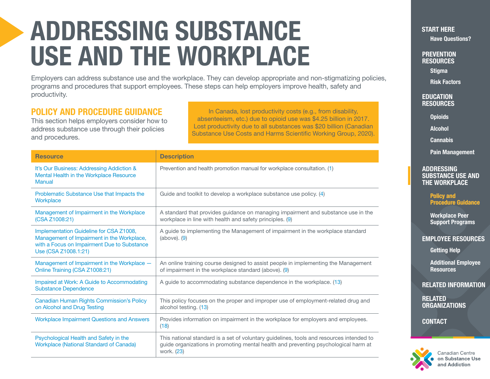## <span id="page-9-0"></span>ADDRESSING SUBSTANCE USE AND THE WORKPLACE

Employers can address substance use and the workplace. They can develop appropriate and non-stigmatizing policies, programs and procedures that support employees. These steps can help employers improve health, safety and productivity.

## POLICY AND PROCEDURE GUIDANCE

This section helps employers consider how to address substance use through their policies and procedures.

In Canada, lost productivity costs (e.g., from disability, absenteeism, etc.) due to opioid use was \$4.25 billion in 2017. Lost productivity due to all substances was \$20 billion (Canadian Substance Use Costs and Harms Scientific Working Group, 2020).

| <b>Resource</b>                                                                                                                                              | <b>Description</b>                                                                                                                                                                            |
|--------------------------------------------------------------------------------------------------------------------------------------------------------------|-----------------------------------------------------------------------------------------------------------------------------------------------------------------------------------------------|
| It's Our Business: Addressing Addiction &<br>Mental Health in the Workplace Resource<br><b>Manual</b>                                                        | Prevention and health promotion manual for workplace consultation. (1)                                                                                                                        |
| Problematic Substance Use that Impacts the<br>Workplace                                                                                                      | Guide and toolkit to develop a workplace substance use policy. (4)                                                                                                                            |
| Management of Impairment in the Workplace<br>(CSA Z1008:21)                                                                                                  | A standard that provides guidance on managing impairment and substance use in the<br>workplace in line with health and safety principles. (9)                                                 |
| Implementation Guideline for CSA Z1008,<br>Management of Impairment in the Workplace,<br>with a Focus on Impairment Due to Substance<br>Use (CSA Z1008.1:21) | A guide to implementing the Management of impairment in the workplace standard<br>$(above)$ . $(9)$                                                                                           |
| Management of Impairment in the Workplace -<br>Online Training (CSA Z1008:21)                                                                                | An online training course designed to assist people in implementing the Management<br>of impairment in the workplace standard (above). (9)                                                    |
| Impaired at Work: A Guide to Accommodating<br><b>Substance Dependence</b>                                                                                    | A guide to accommodating substance dependence in the workplace. (13)                                                                                                                          |
| Canadian Human Rights Commission's Policy<br>on Alcohol and Drug Testing                                                                                     | This policy focuses on the proper and improper use of employment-related drug and<br>alcohol testing. (13)                                                                                    |
| <b>Workplace Impairment Questions and Answers</b>                                                                                                            | Provides information on impairment in the workplace for employers and employees.<br>(18)                                                                                                      |
| Psychological Health and Safety in the<br><b>Workplace (National Standard of Canada)</b>                                                                     | This national standard is a set of voluntary guidelines, tools and resources intended to<br>guide organizations in promoting mental health and preventing psychological harm at<br>work. (23) |

[START HERE](#page-1-0) [Have Questions?](#page-2-0)

**PREVENTION RESOURCES** 

[Stigma](#page-3-0)

[Risk Factors](#page-4-0)

**EDUCATION [RESOURCES](#page-5-0)** 

**[Opioids](#page-5-0)** 

[Alcohol](#page-6-0)

[Cannabis](#page-7-0)

[Pain Management](#page-8-0)

#### **ADDRESSING** SUBSTANCE USE AND THE WORKPLACE

Policy and Procedure Guidance

Workplace Peer [Support Programs](#page-10-0)

#### [EMPLOYEE RESOURCES](#page-11-0)

[Getting Help](#page-11-0)

[Additional Employee](#page-12-0)  **Resources** 

[RELATED INFORMATION](#page-13-0)

RELATED **[ORGANIZATIONS](#page-14-0)** 

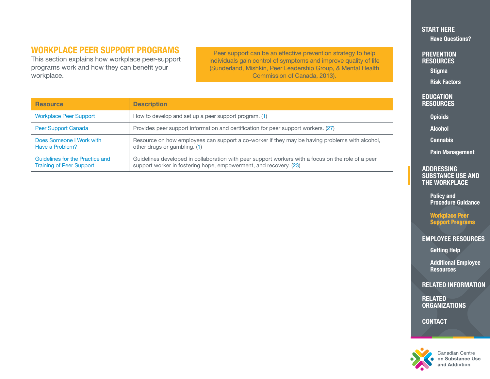## <span id="page-10-0"></span>WORKPLACE PEER SUPPORT PROGRAMS

This section explains how workplace peer-support programs work and how they can benefit your workplace.

Peer support can be an effective prevention strategy to help individuals gain control of symptoms and improve quality of life (Sunderland, Mishkin, Peer Leadership Group, & Mental Health Commission of Canada, 2013).

| <b>Resource</b>                                                    | <b>Description</b>                                                                                                                                                      |
|--------------------------------------------------------------------|-------------------------------------------------------------------------------------------------------------------------------------------------------------------------|
| <b>Workplace Peer Support</b>                                      | How to develop and set up a peer support program. (1)                                                                                                                   |
| Peer Support Canada                                                | Provides peer support information and certification for peer support workers. (27)                                                                                      |
| Does Someone I Work with<br>Have a Problem?                        | Resource on how employees can support a co-worker if they may be having problems with alcohol,<br>other drugs or gambling. (1)                                          |
| Guidelines for the Practice and<br><b>Training of Peer Support</b> | Guidelines developed in collaboration with peer support workers with a focus on the role of a peer<br>support worker in fostering hope, empowerment, and recovery. (23) |

#### [START HERE](#page-1-0) [Have Questions?](#page-2-0)

**PREVENTION RESOURCES** 

**[Stigma](#page-3-0)** 

[Risk Factors](#page-4-0)

#### **EDUCATION [RESOURCES](#page-5-0)**

**[Opioids](#page-5-0)** 

[Alcohol](#page-6-0)

**[Cannabis](#page-7-0)** 

[Pain Management](#page-8-0)

#### ADDRESSING [SUBSTANCE USE AND](#page-9-0)  THE WORKPLACE

Policy and [Procedure Guidance](#page-9-0)

Workplace Peer Support Programs

[EMPLOYEE RESOURCES](#page-11-0) 

[Getting Help](#page-11-0)

[Additional Employee](#page-12-0)  **Resources** 

[RELATED INFORMATION](#page-13-0)

**RELATED [ORGANIZATIONS](#page-14-0)** 

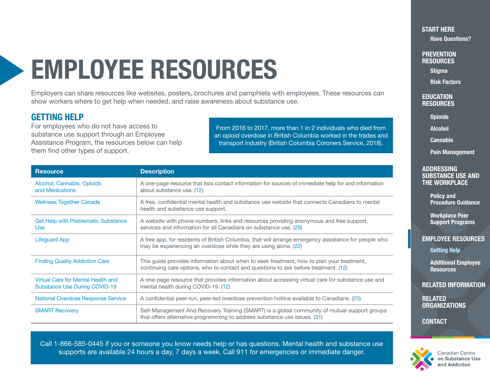## <span id="page-11-0"></span>EMPLOYEE RESOURCES

Employers can share resources like websites, posters, brochures and pamphlets with employees. These resources can show workers where to get help when needed, and raise awareness about substance use.

### GETTING HELP

For employees who do not have access to substance use support through an Employee Assistance Program, the resources below can help them find other types of support.

From 2016 to 2017, more than 1 in 2 individuals who died from an opioid overdose in British Columbia worked in the trades and transport industry (British Columbia Coroners Service, 2018).

| <b>Resource</b>                                                     | <b>Description</b>                                                                                                                                                               |
|---------------------------------------------------------------------|----------------------------------------------------------------------------------------------------------------------------------------------------------------------------------|
| Alcohol, Cannabis, Opioids<br>and Medications                       | A one-page resource that lists contact information for sources of immediate help for and information<br>about substance use. (12)                                                |
| <b>Wellness Together Canada</b>                                     | A free, confidential mental health and substance use website that connects Canadians to mental<br>health and substance use support.                                              |
| <b>Get Help with Problematic Substance</b><br><b>Use</b>            | A website with phone numbers, links and resources providing anonymous and free support,<br>services and information for all Canadians on substance use. (29)                     |
| <b>Lifeguard App</b>                                                | A free app, for residents of British Columbia, that will arrange emergency assistance for people who<br>may be experiencing an overdose while they are using alone. (22)         |
| <b>Finding Quality Addiction Care</b>                               | This guide provides information about when to seek treatment, how to plan your treatment,<br>continuing care options, who to contact and questions to ask before treatment. (12) |
| Virtual Care for Mental Health and<br>Substance Use During COVID-19 | A one-page resource that provides information about accessing virtual care for substance use and<br>mental health during COVID-19. (12)                                          |
| <b>National Overdose Response Service</b>                           | A confidential peer-run, peer-led overdose prevention hotline available to Canadians. (25)                                                                                       |
| <b>SMART Recovery</b>                                               | Self-Management And Recovery Training (SMART) is a global community of mutual-support groups<br>that offers alternative programming to address substance use issues. (31)        |

Call 1-866-585-0445 if you or someone you know needs help or has questions. Mental health and substance use supports are available 24 hours a day, 7 days a week. Call 911 for emergencies or immediate danger.

### [START HERE](#page-1-0)

[Have Questions?](#page-2-0)

**PREVENTION RESOURCES** 

[Stigma](#page-3-0)

[Risk Factors](#page-4-0)

#### **EDUCATION [RESOURCES](#page-5-0)**

**[Opioids](#page-5-0)** 

[Alcohol](#page-6-0)

**[Cannabis](#page-7-0)** 

[Pain Management](#page-8-0)

#### **ADDRESSING** [SUBSTANCE USE AND](#page-9-0)  THE WORKPLACE

Policy and [Procedure Guidance](#page-9-0)

Workplace Peer [Support Programs](#page-10-0)

#### EMPLOYEE RESOURCES

Getting Help

[Additional Employee](#page-12-0)  **Resources** 

[RELATED INFORMATION](#page-13-0)

RELATED **[ORGANIZATIONS](#page-14-0)** 

**[CONTACT](#page-17-0)** 



Canadian Centre on Substance Use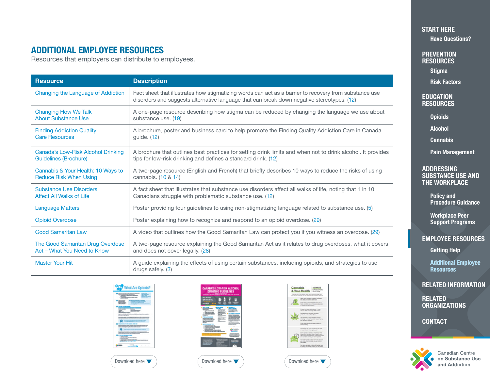## <span id="page-12-0"></span>ADDITIONAL EMPLOYEE RESOURCES

Resources that employers can distribute to employees.

| <b>Resource</b>                    | <b>Description</b>                                                                                                                                                                                   |
|------------------------------------|------------------------------------------------------------------------------------------------------------------------------------------------------------------------------------------------------|
| Changing the Language of Addiction | Fact sheet that illustrates how stigmatizing words can act as a barrier to recovery from substance use<br>disorders and suggests alternative language that can break down negative stereotypes. (12) |
| <b>Changing How We Talk</b>        | A one-page resource describing how stigma can be reduced by changing the language we use about                                                                                                       |
| <b>About Substance Use</b>         | substance use. (19)                                                                                                                                                                                  |
| <b>Finding Addiction Quality</b>   | A brochure, poster and business card to help promote the Finding Quality Addiction Care in Canada                                                                                                    |
| <b>Care Resources</b>              | guide. (12)                                                                                                                                                                                          |
| Canada's Low-Risk Alcohol Drinking | A brochure that outlines best practices for setting drink limits and when not to drink alcohol. It provides                                                                                          |
| <b>Guidelines (Brochure)</b>       | tips for low-risk drinking and defines a standard drink. (12)                                                                                                                                        |
| Cannabis & Your Health: 10 Ways to | A two-page resource (English and French) that briefly describes 10 ways to reduce the risks of using                                                                                                 |
| <b>Reduce Risk When Using</b>      | cannabis. (10 & 14)                                                                                                                                                                                  |
| <b>Substance Use Disorders</b>     | A fact sheet that illustrates that substance use disorders affect all walks of life, noting that 1 in 10                                                                                             |
| <b>Affect All Walks of Life</b>    | Canadians struggle with problematic substance use. (12)                                                                                                                                              |
| <b>Language Matters</b>            | Poster providing four guidelines to using non-stigmatizing language related to substance use. (5)                                                                                                    |
| <b>Opioid Overdose</b>             | Poster explaining how to recognize and respond to an opioid overdose. (29)                                                                                                                           |
| <b>Good Samaritan Law</b>          | A video that outlines how the Good Samaritan Law can protect you if you witness an overdose. (29)                                                                                                    |
| The Good Samaritan Drug Overdose   | A two-page resource explaining the Good Samaritan Act as it relates to drug overdoses, what it covers                                                                                                |
| Act - What You Need to Know        | and does not cover legally. (28)                                                                                                                                                                     |
| <b>Master Your Hit</b>             | A quide explaining the effects of using certain substances, including opioids, and strategies to use<br>drugs safely. (3)                                                                            |











Cannabia sawora Johnson Macassota.

#### [START HERE](#page-1-0)

[Have Questions?](#page-2-0)

**PREVENTION RESOURCES** 

**[Stigma](#page-3-0)** 

[Risk Factors](#page-4-0)

#### **EDUCATION [RESOURCES](#page-5-0)**

**[Opioids](#page-5-0)** 

[Alcohol](#page-6-0)

**[Cannabis](#page-7-0)** 

[Pain Management](#page-8-0)

#### ADDRESSING [SUBSTANCE USE AND](#page-9-0)  THE WORKPLACE

Policy and [Procedure Guidance](#page-9-0)

Workplace Peer [Support Programs](#page-10-0)

#### [EMPLOYEE RESOURCES](#page-11-0)

[Getting Help](#page-11-0)

Additional Employee **Resources** 

[RELATED INFORMATION](#page-13-0)

**RELATED [ORGANIZATIONS](#page-14-0)** 

**[CONTACT](#page-17-0)** 



Canadian Centre on Substance Use and Addiction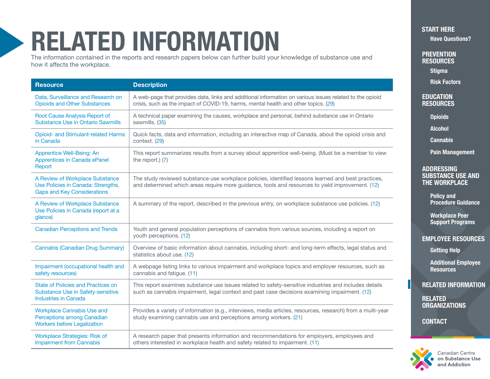## <span id="page-13-0"></span>RELATED INFORMATION

The information contained in the reports and research papers below can further build your knowledge of substance use and how it affects the workplace.

| <b>Resource</b>                                                                                                      | <b>Description</b>                                                                                                                                                                                      |
|----------------------------------------------------------------------------------------------------------------------|---------------------------------------------------------------------------------------------------------------------------------------------------------------------------------------------------------|
| Data, Surveillance and Research on<br><b>Opioids and Other Substances</b>                                            | A web-page that provides data, links and additional information on various issues related to the opioid<br>crisis, such as the impact of COVID-19, harms, mental health and other topics. (29)          |
| Root Cause Analysis Report of<br><b>Substance Use in Ontario Sawmills</b>                                            | A technical paper examining the causes, workplace and personal, behind substance use in Ontario<br>sawmills. (35)                                                                                       |
| <b>Opioid- and Stimulant-related Harms</b><br>in Canada                                                              | Quick facts, data and information, including an interactive map of Canada, about the opioid crisis and<br>context. (29)                                                                                 |
| Apprentice Well-Being: An<br>Apprentices in Canada ePanel<br>Report                                                  | This report summarizes results from a survey about apprentice well-being. (Must be a member to view<br>the report.) $(7)$                                                                               |
| A Review of Workplace Substance<br>Use Policies in Canada: Strengths,<br><b>Gaps and Key Considerations</b>          | The study reviewed substance use workplace policies, identified lessons learned and best practices,<br>and determined which areas require more guidance, tools and resources to yield improvement. (12) |
| A Review of Workplace Substance<br>Use Policies in Canada (report at a<br>glance)                                    | A summary of the report, described in the previous entry, on workplace substance use policies. (12)                                                                                                     |
| <b>Canadian Perceptions and Trends</b>                                                                               | Youth and general population perceptions of cannabis from various sources, including a report on<br>youth perceptions. (12)                                                                             |
| Cannabis (Canadian Drug Summary)                                                                                     | Overview of basic information about cannabis, including short- and long-term effects, legal status and<br>statistics about use. (12)                                                                    |
| Impairment (occupational health and<br>safety resources)                                                             | A webpage listing links to various impairment and workplace topics and employer resources, such as<br>cannabis and fatigue. (11)                                                                        |
| <b>State of Policies and Practices on</b><br><b>Substance Use in Safety-sensitive</b><br><b>Industries in Canada</b> | This report examines substance use issues related to safety-sensitive industries and includes details<br>such as cannabis impairment, legal context and past case decisions examining impairment. (12)  |
| <b>Workplace Cannabis Use and</b><br>Perceptions among Canadian<br><b>Workers before Legalization</b>                | Provides a variety of information (e.g., interviews, media articles, resources, research) from a multi-year<br>study examining cannabis use and perceptions among workers. (21)                         |
| <b>Workplace Strategies: Risk of</b><br><b>Impairment from Cannabis</b>                                              | A research paper that presents information and recommendations for employers, employees and<br>others interested in workplace health and safety related to impairment. (11)                             |

[START HERE](#page-1-0) [Have Questions?](#page-2-0)

**PREVENTION RESOURCES** 

**[Stigma](#page-3-0)** 

[Risk Factors](#page-4-0)

#### **EDUCATION [RESOURCES](#page-5-0)**

**[Opioids](#page-5-0)** 

[Alcohol](#page-6-0)

[Cannabis](#page-7-0)

[Pain Management](#page-8-0)

#### ADDRESSING [SUBSTANCE USE AND](#page-9-0)  THE WORKPLACE

Policy and [Procedure Guidance](#page-9-0)

Workplace Peer [Support Programs](#page-10-0)

#### [EMPLOYEE RESOURCES](#page-11-0)

[Getting Help](#page-11-0)

[Additional Employee](#page-12-0)  **Resources** 

RELATED INFORMATION

**RELATED [ORGANIZATIONS](#page-14-0)** 

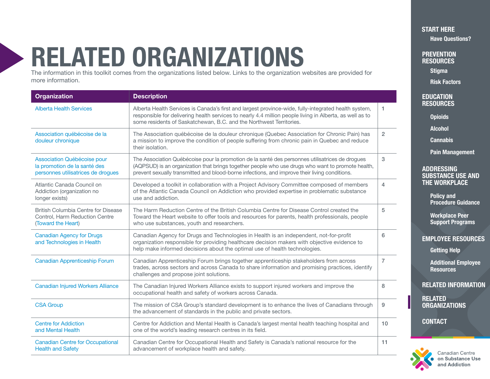## <span id="page-14-0"></span>RELATED ORGANIZATIONS

The information in this toolkit comes from the organizations listed below. Links to the organization websites are provided for more information.

| <b>Organization</b>                                                                               | <b>Description</b>                                                                                                                                                                                                                                                                                    |                |
|---------------------------------------------------------------------------------------------------|-------------------------------------------------------------------------------------------------------------------------------------------------------------------------------------------------------------------------------------------------------------------------------------------------------|----------------|
| <b>Alberta Health Services</b>                                                                    | Alberta Health Services is Canada's first and largest province-wide, fully-integrated health system,<br>responsible for delivering health services to nearly 4.4 million people living in Alberta, as well as to<br>some residents of Saskatchewan, B.C. and the Northwest Territories.               | 1.             |
| Association québécoise de la<br>douleur chronique                                                 | The Association québécoise de la douleur chronique (Quebec Association for Chronic Pain) has<br>a mission to improve the condition of people suffering from chronic pain in Quebec and reduce<br>their isolation.                                                                                     | $\overline{2}$ |
| Association Québécoise pour<br>la promotion de la santé des<br>personnes utilisatrices de drogues | The Association Québécoise pour la promotion de la santé des personnes utilisatrices de drogues<br>(AQPSUD) is an organization that brings together people who use drugs who want to promote health,<br>prevent sexually transmitted and blood-borne infections, and improve their living conditions. | 3              |
| Atlantic Canada Council on<br>Addiction (organization no<br>longer exists)                        | Developed a toolkit in collaboration with a Project Advisory Committee composed of members<br>of the Atlantic Canada Council on Addiction who provided expertise in problematic substance<br>use and addiction.                                                                                       | $\overline{4}$ |
| British Columbia Centre for Disease<br>Control, Harm Reduction Centre<br>(Toward the Heart)       | The Harm Reduction Centre of the British Columbia Centre for Disease Control created the<br>Toward the Heart website to offer tools and resources for parents, health professionals, people<br>who use substances, youth and researchers.                                                             | 5              |
| <b>Canadian Agency for Drugs</b><br>and Technologies in Health                                    | Canadian Agency for Drugs and Technologies in Health is an independent, not-for-profit<br>organization responsible for providing healthcare decision makers with objective evidence to<br>help make informed decisions about the optimal use of health technologies.                                  | 6              |
| Canadian Apprenticeship Forum                                                                     | Canadian Apprenticeship Forum brings together apprenticeship stakeholders from across<br>trades, across sectors and across Canada to share information and promising practices, identify<br>challenges and propose joint solutions.                                                                   | $\overline{7}$ |
| <b>Canadian Injured Workers Alliance</b>                                                          | The Canadian Injured Workers Alliance exists to support injured workers and improve the<br>occupational health and safety of workers across Canada.                                                                                                                                                   | 8              |
| <b>CSA Group</b>                                                                                  | The mission of CSA Group's standard development is to enhance the lives of Canadians through<br>the advancement of standards in the public and private sectors.                                                                                                                                       | 9              |
| <b>Centre for Addiction</b><br>and Mental Health                                                  | Centre for Addiction and Mental Health is Canada's largest mental health teaching hospital and<br>one of the world's leading research centres in its field.                                                                                                                                           | 10             |
| <b>Canadian Centre for Occupational</b><br><b>Health and Safety</b>                               | Canadian Centre for Occupational Health and Safety is Canada's national resource for the<br>advancement of workplace health and safety.                                                                                                                                                               | 11             |

[START HERE](#page-1-0)

[Have Questions?](#page-2-0)

**PREVENTION RESOURCES** 

**[Stigma](#page-3-0)** 

[Risk Factors](#page-4-0)

**EDUCATION [RESOURCES](#page-5-0)** 

**[Opioids](#page-5-0)** 

[Alcohol](#page-6-0)

[Cannabis](#page-7-0)

[Pain Management](#page-8-0)

#### ADDRESSING [SUBSTANCE USE AND](#page-9-0)  THE WORKPLACE

Policy and [Procedure Guidance](#page-9-0)

Workplace Peer [Support Programs](#page-10-0)

#### [EMPLOYEE RESOURCES](#page-11-0)

[Getting Help](#page-11-0)

[Additional Employee](#page-12-0)  **Resources** 

[RELATED INFORMATION](#page-13-0)

**RELATED ORGANIZATIONS** 

**[CONTACT](#page-17-0)** 



Canadian Centre on Substance Use and Addiction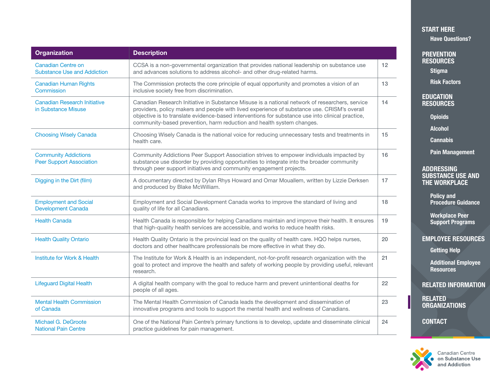<span id="page-15-0"></span>

| <b>Organization</b>                                             | <b>Description</b>                                                                                                                                                                                                                                                                                                                                                         |    |
|-----------------------------------------------------------------|----------------------------------------------------------------------------------------------------------------------------------------------------------------------------------------------------------------------------------------------------------------------------------------------------------------------------------------------------------------------------|----|
| <b>Canadian Centre on</b><br><b>Substance Use and Addiction</b> | CCSA is a non-governmental organization that provides national leadership on substance use<br>and advances solutions to address alcohol- and other drug-related harms.                                                                                                                                                                                                     | 12 |
| <b>Canadian Human Rights</b><br>Commission                      | The Commission protects the core principle of equal opportunity and promotes a vision of an<br>inclusive society free from discrimination.                                                                                                                                                                                                                                 | 13 |
| <b>Canadian Research Initiative</b><br>in Substance Misuse      | Canadian Research Initiative in Substance Misuse is a national network of researchers, service<br>providers, policy makers and people with lived experience of substance use. CRISM's overall<br>objective is to translate evidence-based interventions for substance use into clinical practice,<br>community-based prevention, harm reduction and health system changes. | 14 |
| <b>Choosing Wisely Canada</b>                                   | Choosing Wisely Canada is the national voice for reducing unnecessary tests and treatments in<br>health care.                                                                                                                                                                                                                                                              | 15 |
| <b>Community Addictions</b><br><b>Peer Support Association</b>  | Community Addictions Peer Support Association strives to empower individuals impacted by<br>substance use disorder by providing opportunities to integrate into the broader community<br>through peer support initiatives and community engagement projects.                                                                                                               | 16 |
| Digging in the Dirt (film)                                      | A documentary directed by Dylan Rhys Howard and Omar Mouallem, written by Lizzie Derksen<br>and produced by Blake McWilliam.                                                                                                                                                                                                                                               | 17 |
| <b>Employment and Social</b><br><b>Development Canada</b>       | Employment and Social Development Canada works to improve the standard of living and<br>quality of life for all Canadians.                                                                                                                                                                                                                                                 | 18 |
| <b>Health Canada</b>                                            | Health Canada is responsible for helping Canadians maintain and improve their health. It ensures<br>that high-quality health services are accessible, and works to reduce health risks.                                                                                                                                                                                    | 19 |
| <b>Health Quality Ontario</b>                                   | Health Quality Ontario is the provincial lead on the quality of health care. HQO helps nurses,<br>doctors and other healthcare professionals be more effective in what they do.                                                                                                                                                                                            | 20 |
| <b>Institute for Work &amp; Health</b>                          | The Institute for Work & Health is an independent, not-for-profit research organization with the<br>goal to protect and improve the health and safety of working people by providing useful, relevant<br>research.                                                                                                                                                         | 21 |
| <b>Lifeguard Digital Health</b>                                 | A digital health company with the goal to reduce harm and prevent unintentional deaths for<br>people of all ages.                                                                                                                                                                                                                                                          | 22 |
| <b>Mental Health Commission</b><br>of Canada                    | The Mental Health Commission of Canada leads the development and dissemination of<br>innovative programs and tools to support the mental health and wellness of Canadians.                                                                                                                                                                                                 | 23 |
| Michael G. DeGroote<br><b>National Pain Centre</b>              | One of the National Pain Centre's primary functions is to develop, update and disseminate clinical<br>practice guidelines for pain management.                                                                                                                                                                                                                             | 24 |

## [START HERE](#page-1-0)

[Have Questions?](#page-2-0)

**PREVENTION RESOURCES** 

**[Stigma](#page-3-0)** 

[Risk Factors](#page-4-0)

EDUCATION **[RESOURCES](#page-5-0)** 

**[Opioids](#page-5-0)** 

[Alcohol](#page-6-0)

**[Cannabis](#page-7-0)** 

[Pain Management](#page-8-0)

#### ADDRESSING [SUBSTANCE USE AND](#page-9-0)  THE WORKPLACE

Policy and [Procedure Guidance](#page-9-0)

Workplace Peer [Support Programs](#page-10-0)

[EMPLOYEE RESOURCES](#page-11-0) 

[Getting Help](#page-11-0)

[Additional Employee](#page-12-0)  **Resources** 

[RELATED INFORMATION](#page-13-0)

RELATED [ORGANIZATIONS](#page-14-0)

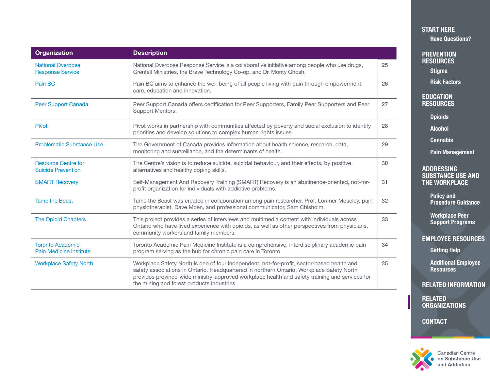<span id="page-16-0"></span>

| <b>Organization</b>                                       | <b>Description</b>                                                                                                                                                                                                                                                                                                                      |    |
|-----------------------------------------------------------|-----------------------------------------------------------------------------------------------------------------------------------------------------------------------------------------------------------------------------------------------------------------------------------------------------------------------------------------|----|
| <b>National Overdose</b><br><b>Response Service</b>       | National Overdose Response Service is a collaborative initiative among people who use drugs,<br>Grenfell Ministries, the Brave Technology Co-op, and Dr. Monty Ghosh.                                                                                                                                                                   | 25 |
| Pain BC                                                   | Pain BC aims to enhance the well-being of all people living with pain through empowerment,<br>care, education and innovation.                                                                                                                                                                                                           | 26 |
| Peer Support Canada                                       | Peer Support Canada offers certification for Peer Supporters, Family Peer Supporters and Peer<br>Support Mentors.                                                                                                                                                                                                                       | 27 |
| Pivot                                                     | Pivot works in partnership with communities affected by poverty and social exclusion to identify<br>priorities and develop solutions to complex human rights issues.                                                                                                                                                                    | 28 |
| <b>Problematic Substance Use</b>                          | The Government of Canada provides information about health science, research, data,<br>monitoring and surveillance, and the determinants of health.                                                                                                                                                                                     | 29 |
| <b>Resource Centre for</b><br><b>Suicide Prevention</b>   | The Centre's vision is to reduce suicide, suicidal behaviour, and their effects, by positive<br>alternatives and healthy coping skills.                                                                                                                                                                                                 | 30 |
| <b>SMART Recovery</b>                                     | Self-Management And Recovery Training (SMART) Recovery is an abstinence-oriented, not-for-<br>profit organization for individuals with addictive problems.                                                                                                                                                                              | 31 |
| <b>Tame the Beast</b>                                     | Tame the Beast was created in collaboration among pain researcher, Prof. Lorimer Moseley, pain<br>physiotherapist, Dave Moen, and professional communicator, Sam Chisholm.                                                                                                                                                              | 32 |
| <b>The Opioid Chapters</b>                                | This project provides a series of interviews and multimedia content with individuals across<br>Ontario who have lived experience with opioids, as well as other perspectives from physicians,<br>community workers and family members.                                                                                                  | 33 |
| <b>Toronto Academic</b><br><b>Pain Medicine Institute</b> | Toronto Academic Pain Medicine Institute is a comprehensive, interdisciplinary academic pain<br>program serving as the hub for chronic pain care in Toronto.                                                                                                                                                                            | 34 |
| <b>Workplace Safety North</b>                             | Workplace Safety North is one of four independent, not-for-profit, sector-based health and<br>safety associations in Ontario. Headquartered in northern Ontario, Workplace Safety North<br>provides province-wide ministry-approved workplace health and safety training and services for<br>the mining and forest products industries. | 35 |

### [START HERE](#page-1-0)

[Have Questions?](#page-2-0)

**PREVENTION RESOURCES** 

**[Stigma](#page-3-0)** 

[Risk Factors](#page-4-0)

EDUCATION **[RESOURCES](#page-5-0)** 

**[Opioids](#page-5-0)** 

[Alcohol](#page-6-0)

**[Cannabis](#page-7-0)** 

[Pain Management](#page-8-0)

#### ADDRESSING [SUBSTANCE USE AND](#page-9-0)  THE WORKPLACE

Policy and [Procedure Guidance](#page-9-0)

Workplace Peer [Support Programs](#page-10-0)

#### [EMPLOYEE RESOURCES](#page-11-0)

[Getting Help](#page-11-0)

[Additional Employee](#page-12-0)  **Resources** 

[RELATED INFORMATION](#page-13-0)

RELATED [ORGANIZATIONS](#page-14-0)

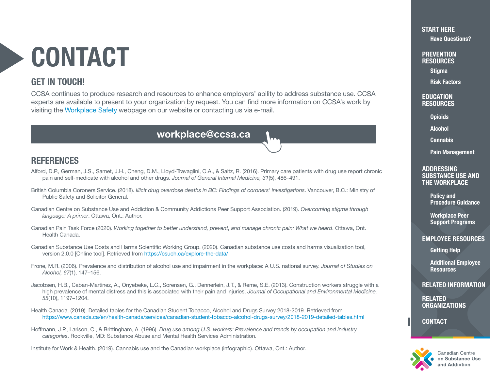## <span id="page-17-0"></span>CONTACT

## GET IN TOUCH!

CCSA continues to produce research and resources to enhance employers' ability to address substance use. CCSA experts are available to present to your organization by request. You can find more information on CCSA's work by visiting the [Workplace Safety](https://www.ccsa.ca/workplace-safety) webpage on our website or contacting us via e-mail.

workplace@ccsa.ca

## **REFERENCES**

- Alford, D.P., German, J.S., Samet, J.H., Cheng, D.M., Lloyd-Travaglini, C.A., & Saitz, R. (2016). Primary care patients with drug use report chronic pain and self-medicate with alcohol and other drugs. *Journal of General Internal Medicine, 31*(5), 486–491.
- British Columbia Coroners Service. (2018). *Illicit drug overdose deaths in BC: Findings of coroners' investigations*. Vancouver, B.C.: Ministry of Public Safety and Solicitor General.
- Canadian Centre on Substance Use and Addiction & Community Addictions Peer Support Association. (2019). *Overcoming stigma through language: A primer*. Ottawa, Ont.: Author.
- Canadian Pain Task Force (2020). *Working together to better understand, prevent, and manage chronic pain: What we heard*. Ottawa, Ont. Health Canada.
- Canadian Substance Use Costs and Harms Scientific Working Group. (2020). Canadian substance use costs and harms visualization tool, version 2.0.0 [Online tool]. Retrieved from<https://csuch.ca/explore-the-data/>
- Frone, M.R. (2006). Prevalence and distribution of alcohol use and impairment in the workplace: A U.S. national survey. *Journal of Studies on Alcohol, 67*(1), 147–156.
- Jacobsen, H.B., Caban-Martinez, A., Onyebeke, L.C., Sorensen, G., Dennerlein, J.T., & Reme, S.E. (2013). Construction workers struggle with a high prevalence of mental distress and this is associated with their pain and injuries. *Journal of Occupational and Environmental Medicine, 55*(10), 1197–1204.
- Health Canada. (2019). Detailed tables for the Canadian Student Tobacco, Alcohol and Drugs Survey 2018-2019. Retrieved from <https://www.canada.ca/en/health-canada/services/canadian-student-tobacco-alcohol-drugs-survey/2018-2019-detailed-tables.html>
- Hoffmann, J.P., Larison, C., & Brittingham, A. (1996). *Drug use among U.S. workers: Prevalence and trends by occupation and industry categories*. Rockville, MD: Substance Abuse and Mental Health Services Administration.

Institute for Work & Health. (2019). Cannabis use and the Canadian workplace (infographic). Ottawa, Ont.: Author.

#### [START HERE](#page-1-0)

[Have Questions?](#page-2-0)

**PREVENTION RESOURCES** 

[Stigma](#page-3-0)

[Risk Factors](#page-4-0)

#### **EDUCATION** [RESOURCES](#page-5-0)

**[Opioids](#page-5-0)** 

[Alcohol](#page-6-0)

**[Cannabis](#page-7-0)** 

[Pain Management](#page-8-0)

#### ADDRESSING [SUBSTANCE USE AND](#page-9-0)  THE WORKPLACE

Policy and [Procedure Guidance](#page-9-0)

Workplace Peer [Support Programs](#page-10-0)

#### [EMPLOYEE RESOURCES](#page-11-0)

[Getting Help](#page-11-0)

[Additional Employee](#page-12-0)  **Resources** 

[RELATED INFORMATION](#page-13-0)

RELATED **[ORGANIZATIONS](#page-14-0)** 

**CONTACT** 



Canadian Centre on Substance Use